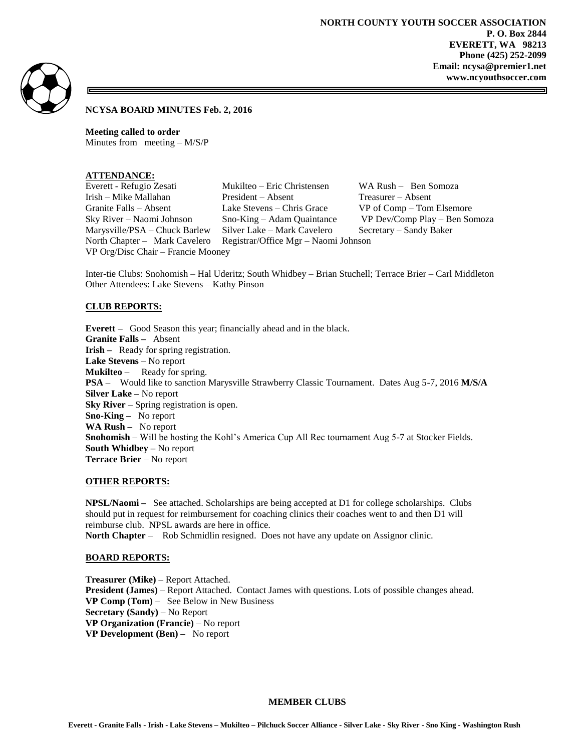

**NCYSA BOARD MINUTES Feb. 2, 2016**

**Meeting called to order**  Minutes from meeting – M/S/P

# **ATTENDANCE:**

VP Org/Disc Chair – Francie Mooney

Everett - Refugio Zesati Mukilteo – Eric Christensen WA Rush – Ben Somoza Irish – Mike Mallahan President – Absent Treasurer – Absent Granite Falls – Absent Lake Stevens – Chris Grace VP of Comp – Tom Elsemore Sky River – Naomi Johnson Sno-King – Adam Quaintance VP Dev/Comp Play – Ben Somoza Marysville/PSA – Chuck Barlew Silver Lake – Mark Cavelero Secretary – Sandy Baker North Chapter – Mark Cavelero Registrar/Office Mgr – Naomi Johnson

Inter-tie Clubs: Snohomish – Hal Uderitz; South Whidbey – Brian Stuchell; Terrace Brier – Carl Middleton Other Attendees: Lake Stevens – Kathy Pinson

### **CLUB REPORTS:**

**Everett –** Good Season this year; financially ahead and in the black. **Granite Falls –** Absent **Irish –** Ready for spring registration. **Lake Stevens** – No report **Mukilteo** – Ready for spring. **PSA** – Would like to sanction Marysville Strawberry Classic Tournament. Dates Aug 5-7, 2016 **M/S/A Silver Lake –** No report **Sky River** – Spring registration is open. **Sno-King –** No report **WA Rush –** No report **Snohomish** – Will be hosting the Kohl's America Cup All Rec tournament Aug 5-7 at Stocker Fields. **South Whidbey –** No report **Terrace Brier** – No report

#### **OTHER REPORTS:**

**NPSL/Naomi –** See attached. Scholarships are being accepted at D1 for college scholarships. Clubs should put in request for reimbursement for coaching clinics their coaches went to and then D1 will reimburse club. NPSL awards are here in office.

**North Chapter** – Rob Schmidlin resigned. Does not have any update on Assignor clinic.

#### **BOARD REPORTS:**

**Treasurer (Mike)** – Report Attached. **President (James)** – Report Attached. Contact James with questions. Lots of possible changes ahead. **VP Comp (Tom)** – See Below in New Business **Secretary (Sandy)** – No Report **VP Organization (Francie)** – No report **VP Development (Ben) –** No report

## **MEMBER CLUBS**